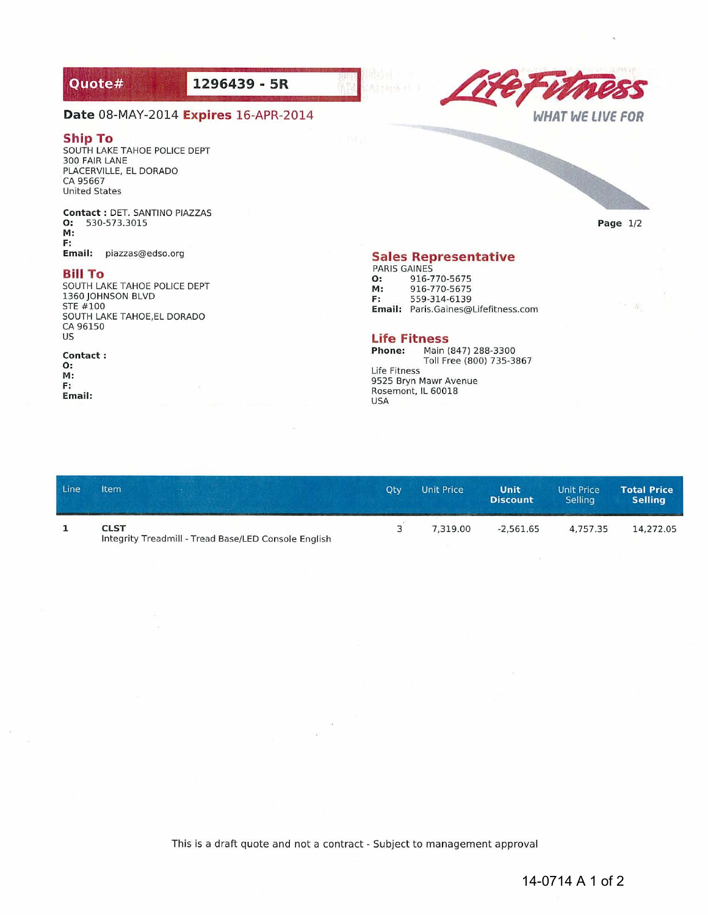# Quote#

**1296439 - SR** 



## **Date** 08-MAY-2014 **Expires** 16-APR-2014

### **Ship To**

SOUTH LAKE TAHOE POLICE DEPT 300 FAIR LANE PLACERVILLE. EL DORADO CA 95667 **United States** 

**Contact: DET. SANTINO PIAZZAS**  0: 530-573.3015 M: F: **Email: piazzas@edso.org** 

#### **Bill To**

SOUTH LAKE TAHOE POLICE DEPT 1360 JOHNSON 8LVD STE #100 SOUTH LAKE TAHOE.EL DORADO CA 96150 US

#### **Contact :**  0:

M: F: **Email:** 

## **Sales Representative**

PARIS GAINES **O:** 916-770-5675<br>**M:** 916-770-5675 M: 916-770-5675<br>F: 559-314-6139 F: 559-314-6139 **Email: Paris.Gaines@Lifefitness.com** 

# **Life Fitness**

**Phone: Main (847) 288-3300**  Toll Free (800) 735-3867 **Life Fitness 9525 Bryn Mawr Avenue Rosemont, IL 60018**  USA

| Line | <b>Item</b><br>and the second in the contract of the company of the second contract of the contract of the contract of the contract of the contract of the contract of the contract of the contract of the contract of the contract of the co | Otv | <b>Unit Price</b> | Unit<br><b>Discount</b> | Unit Price<br><b>Selling</b> | <b>Total Price</b><br><b>Selling</b> |
|------|-----------------------------------------------------------------------------------------------------------------------------------------------------------------------------------------------------------------------------------------------|-----|-------------------|-------------------------|------------------------------|--------------------------------------|
|      | <b>CLST</b><br>Integrity Treadmill - Tread Base/LED Console English                                                                                                                                                                           |     | 7.319.00          | $-2.561.65$             | 4.757.35                     | 14.272.05                            |

This is a draft quote and not a contract - Subject to management approval

**Page 1/2**